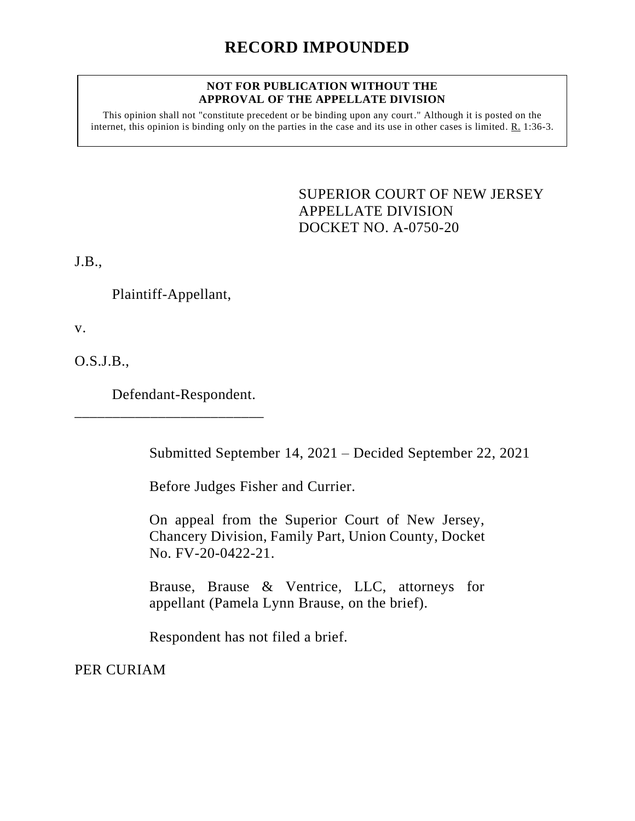## **RECORD IMPOUNDED**

## **NOT FOR PUBLICATION WITHOUT THE APPROVAL OF THE APPELLATE DIVISION**

This opinion shall not "constitute precedent or be binding upon any court." Although it is posted on the internet, this opinion is binding only on the parties in the case and its use in other cases is limited. R. 1:36-3.

> <span id="page-0-0"></span>SUPERIOR COURT OF NEW JERSEY APPELLATE DIVISION DOCKET NO. A-0750-20

J.B.,

Plaintiff-Appellant,

v.

O.S.J.B.,

Defendant-Respondent.

\_\_\_\_\_\_\_\_\_\_\_\_\_\_\_\_\_\_\_\_\_\_\_\_\_

Submitted September 14, 2021 – Decided September 22, 2021

Before Judges Fisher and Currier.

On appeal from the Superior Court of New Jersey, Chancery Division, Family Part, Union County, Docket No. FV-20-0422-21.

Brause, Brause & Ventrice, LLC, attorneys for appellant (Pamela Lynn Brause, on the brief).

Respondent has not filed a brief.

PER CURIAM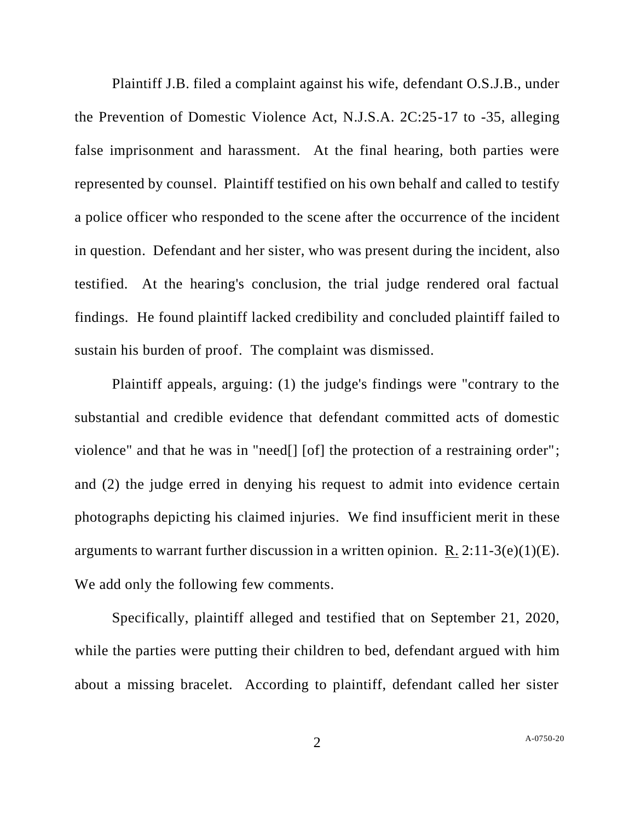Plaintiff J.B. filed a complaint against his wife, defendant O.S.J.B., under the Prevention of Domestic Violence Act, N.J.S.A. 2C:25-17 to -35, alleging false imprisonment and harassment. At the final hearing, both parties were represented by counsel. Plaintiff testified on his own behalf and called to testify a police officer who responded to the scene after the occurrence of the incident in question. Defendant and her sister, who was present during the incident, also testified. At the hearing's conclusion, the trial judge rendered oral factual findings. He found plaintiff lacked credibility and concluded plaintiff failed to sustain his burden of proof. The complaint was dismissed.

Plaintiff appeals, arguing: (1) the judge's findings were "contrary to the substantial and credible evidence that defendant committed acts of domestic violence" and that he was in "need[] [of] the protection of a restraining order"; and (2) the judge erred in denying his request to admit into evidence certain photographs depicting his claimed injuries. We find insufficient merit in these arguments to warrant further discussion in a written opinion. R.  $2:11-3(e)(1)(E)$ . We add only the following few comments.

Specifically, plaintiff alleged and testified that on September 21, 2020, while the parties were putting their children to bed, defendant argued with him about a missing bracelet. According to plaintiff, defendant called her sister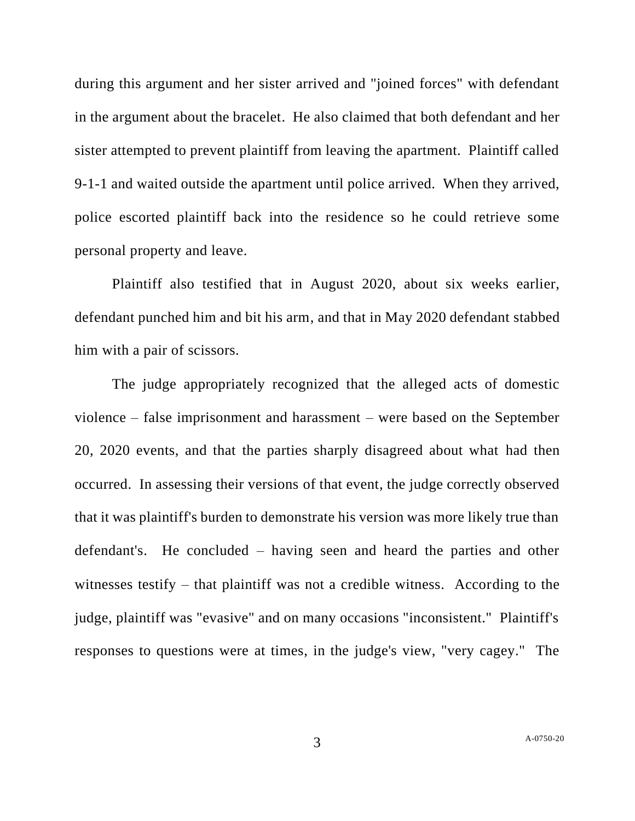during this argument and her sister arrived and "joined forces" with defendant in the argument about the bracelet. He also claimed that both defendant and her sister attempted to prevent plaintiff from leaving the apartment. Plaintiff called 9-1-1 and waited outside the apartment until police arrived. When they arrived, police escorted plaintiff back into the residence so he could retrieve some personal property and leave.

Plaintiff also testified that in August 2020, about six weeks earlier, defendant punched him and bit his arm, and that in May 2020 defendant stabbed him with a pair of scissors.

The judge appropriately recognized that the alleged acts of domestic violence – false imprisonment and harassment – were based on the September 20, 2020 events, and that the parties sharply disagreed about what had then occurred. In assessing their versions of that event, the judge correctly observed that it was plaintiff's burden to demonstrate his version was more likely true than defendant's. He concluded – having seen and heard the parties and other witnesses testify – that plaintiff was not a credible witness. According to the judge, plaintiff was "evasive" and on many occasions "inconsistent." Plaintiff's responses to questions were at times, in the judge's view, "very cagey." The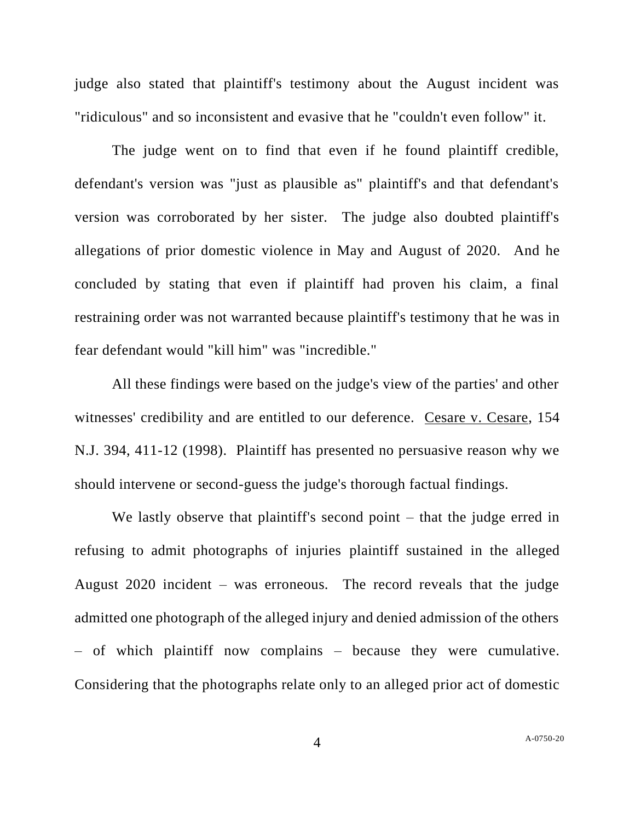judge also stated that plaintiff's testimony about the August incident was "ridiculous" and so inconsistent and evasive that he "couldn't even follow" it.

The judge went on to find that even if he found plaintiff credible, defendant's version was "just as plausible as" plaintiff's and that defendant's version was corroborated by her sister. The judge also doubted plaintiff's allegations of prior domestic violence in May and August of 2020. And he concluded by stating that even if plaintiff had proven his claim, a final restraining order was not warranted because plaintiff's testimony that he was in fear defendant would "kill him" was "incredible."

All these findings were based on the judge's view of the parties' and other witnesses' credibility and are entitled to our deference. Cesare v. Cesare, 154 N.J. 394, 411-12 (1998). Plaintiff has presented no persuasive reason why we should intervene or second-guess the judge's thorough factual findings.

We lastly observe that plaintiff's second point – that the judge erred in refusing to admit photographs of injuries plaintiff sustained in the alleged August 2020 incident – was erroneous. The record reveals that the judge admitted one photograph of the alleged injury and denied admission of the others – of which plaintiff now complains – because they were cumulative. Considering that the photographs relate only to an alleged prior act of domestic